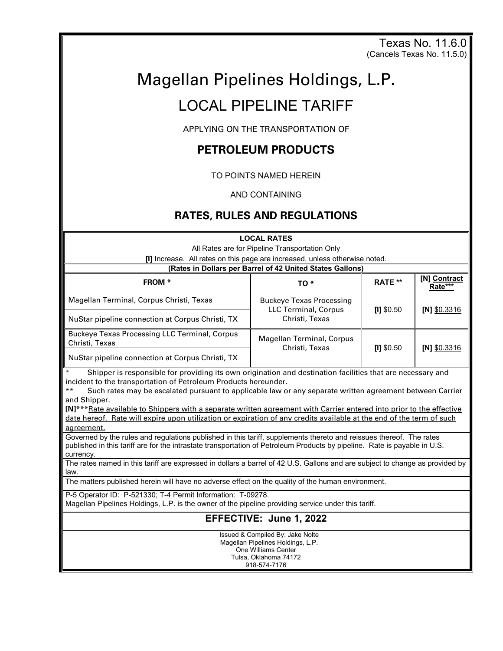Texas No. 11.6.0 (Cancels Texas No. 11.5.0)

# Magellan Pipelines Holdings, L.P.

## LOCAL PIPELINE TARIFF

APPLYING ON THE TRANSPORTATION OF

## **PETROLEUM PRODUCTS**

TO POINTS NAMED HEREIN

AND CONTAINING

## **RATES, RULES AND REGULATIONS**

**LOCAL RATES** All Rates are for Pipeline Transportation Only **[I]** Increase. All rates on this page are increased, unless otherwise noted. **(Rates in Dollars per Barrel of 42 United States Gallons) FROM \* TO \* RATE \*\* [N] Contract Rate\*\*\*** Magellan Terminal, Corpus Christi, Texas **Buckeye Texas Processing** LLC Terminal, Corpus Christi, Texas **[I]** \$0.50 **[N]** \$0.3316 NuStar pipeline connection at Corpus Christi, TX Buckeye Texas Processing LLC Terminal, Corpus Buckeye Texas Processing ELC Terminal, Corpus<br>Christi, Texas Christi, Texas **[I]** \$0.50 **[N]** \$0.3316 NuStar pipeline connection at Corpus Christi, TX Shipper is responsible for providing its own origination and destination facilities that are necessary and incident to the transportation of Petroleum Products hereunder. Such rates may be escalated pursuant to applicable law or any separate written agreement between Carrier and Shipper. **[N]**\*\*\*Rate available to Shippers with a separate written agreement with Carrier entered into prior to the effective date hereof. Rate will expire upon utilization or expiration of any credits available at the end of the term of such agreement. Governed by the rules and regulations published in this tariff, supplements thereto and reissues thereof. The rates published in this tariff are for the intrastate transportation of Petroleum Products by pipeline. Rate is payable in U.S. currency. The rates named in this tariff are expressed in dollars a barrel of 42 U.S. Gallons and are subject to change as provided by law. The matters published herein will have no adverse effect on the quality of the human environment. P-5 Operator ID: P-521330; T-4 Permit Information: T-09278. Magellan Pipelines Holdings, L.P. is the owner of the pipeline providing service under this tariff. **EFFECTIVE: June 1, 2022** Issued & Compiled By: Jake Nolte Magellan Pipelines Holdings, L.P. One Williams Center Tulsa, Oklahoma 74172 918-574-7176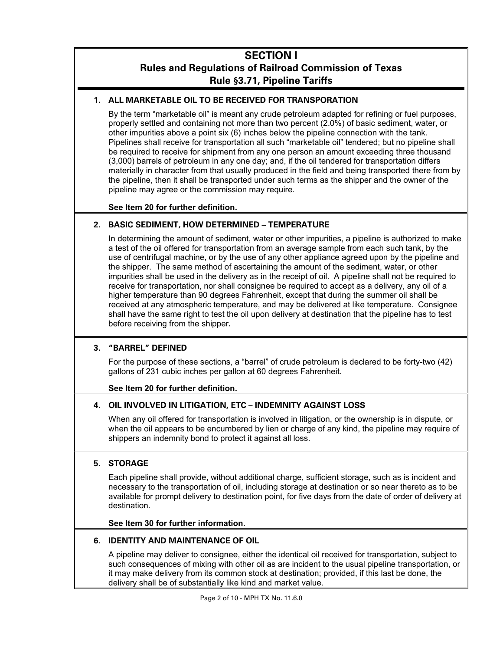## **SECTION I Rules and Regulations of Railroad Commission of Texas Rule §3.71, Pipeline Tariffs**

#### **1. ALL MARKETABLE OIL TO BE RECEIVED FOR TRANSPORATION**

By the term "marketable oil" is meant any crude petroleum adapted for refining or fuel purposes, properly settled and containing not more than two percent (2.0%) of basic sediment, water, or other impurities above a point six (6) inches below the pipeline connection with the tank. Pipelines shall receive for transportation all such "marketable oil" tendered; but no pipeline shall be required to receive for shipment from any one person an amount exceeding three thousand (3,000) barrels of petroleum in any one day; and, if the oil tendered for transportation differs materially in character from that usually produced in the field and being transported there from by the pipeline, then it shall be transported under such terms as the shipper and the owner of the pipeline may agree or the commission may require.

#### **See Item 20 for further definition.**

#### **2. BASIC SEDIMENT, HOW DETERMINED – TEMPERATURE**

In determining the amount of sediment, water or other impurities, a pipeline is authorized to make a test of the oil offered for transportation from an average sample from each such tank, by the use of centrifugal machine, or by the use of any other appliance agreed upon by the pipeline and the shipper. The same method of ascertaining the amount of the sediment, water, or other impurities shall be used in the delivery as in the receipt of oil. A pipeline shall not be required to receive for transportation, nor shall consignee be required to accept as a delivery, any oil of a higher temperature than 90 degrees Fahrenheit, except that during the summer oil shall be received at any atmospheric temperature, and may be delivered at like temperature. Consignee shall have the same right to test the oil upon delivery at destination that the pipeline has to test before receiving from the shipper**.** 

#### **3. "BARREL" DEFINED**

For the purpose of these sections, a "barrel" of crude petroleum is declared to be forty-two (42) gallons of 231 cubic inches per gallon at 60 degrees Fahrenheit.

#### **See Item 20 for further definition.**

#### **4. OIL INVOLVED IN LITIGATION, ETC – INDEMNITY AGAINST LOSS**

When any oil offered for transportation is involved in litigation, or the ownership is in dispute, or when the oil appears to be encumbered by lien or charge of any kind, the pipeline may require of shippers an indemnity bond to protect it against all loss.

#### **5. STORAGE**

Each pipeline shall provide, without additional charge, sufficient storage, such as is incident and necessary to the transportation of oil, including storage at destination or so near thereto as to be available for prompt delivery to destination point, for five days from the date of order of delivery at destination.

#### **See Item 30 for further information.**

#### **6. IDENTITY AND MAINTENANCE OF OIL**

A pipeline may deliver to consignee, either the identical oil received for transportation, subject to such consequences of mixing with other oil as are incident to the usual pipeline transportation, or it may make delivery from its common stock at destination; provided, if this last be done, the delivery shall be of substantially like kind and market value.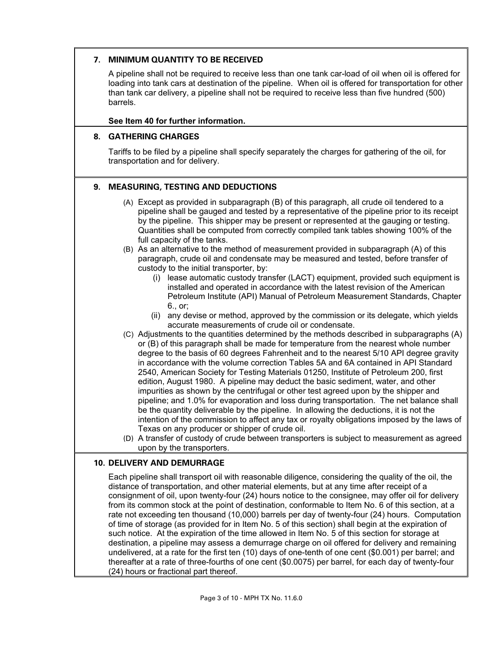#### **7. MINIMUM QUANTITY TO BE RECEIVED**

A pipeline shall not be required to receive less than one tank car-load of oil when oil is offered for loading into tank cars at destination of the pipeline. When oil is offered for transportation for other than tank car delivery, a pipeline shall not be required to receive less than five hundred (500) barrels.

#### **See Item 40 for further information.**

#### **8. GATHERING CHARGES**

Tariffs to be filed by a pipeline shall specify separately the charges for gathering of the oil, for transportation and for delivery.

#### **9. MEASURING, TESTING AND DEDUCTIONS**

- (A) Except as provided in subparagraph (B) of this paragraph, all crude oil tendered to a pipeline shall be gauged and tested by a representative of the pipeline prior to its receipt by the pipeline. This shipper may be present or represented at the gauging or testing. Quantities shall be computed from correctly compiled tank tables showing 100% of the full capacity of the tanks.
- (B) As an alternative to the method of measurement provided in subparagraph (A) of this paragraph, crude oil and condensate may be measured and tested, before transfer of custody to the initial transporter, by:
	- (i) lease automatic custody transfer (LACT) equipment, provided such equipment is installed and operated in accordance with the latest revision of the American Petroleum Institute (API) Manual of Petroleum Measurement Standards, Chapter 6., or;
	- (ii) any devise or method, approved by the commission or its delegate, which yields accurate measurements of crude oil or condensate.
- (C) Adjustments to the quantities determined by the methods described in subparagraphs (A) or (B) of this paragraph shall be made for temperature from the nearest whole number degree to the basis of 60 degrees Fahrenheit and to the nearest 5/10 API degree gravity in accordance with the volume correction Tables 5A and 6A contained in API Standard 2540, American Society for Testing Materials 01250, Institute of Petroleum 200, first edition, August 1980. A pipeline may deduct the basic sediment, water, and other impurities as shown by the centrifugal or other test agreed upon by the shipper and pipeline; and 1.0% for evaporation and loss during transportation. The net balance shall be the quantity deliverable by the pipeline. In allowing the deductions, it is not the intention of the commission to affect any tax or royalty obligations imposed by the laws of Texas on any producer or shipper of crude oil.
- (D) A transfer of custody of crude between transporters is subject to measurement as agreed upon by the transporters.

#### **10. DELIVERY AND DEMURRAGE**

Each pipeline shall transport oil with reasonable diligence, considering the quality of the oil, the distance of transportation, and other material elements, but at any time after receipt of a consignment of oil, upon twenty-four (24) hours notice to the consignee, may offer oil for delivery from its common stock at the point of destination, conformable to Item No. 6 of this section, at a rate not exceeding ten thousand (10,000) barrels per day of twenty-four (24) hours. Computation of time of storage (as provided for in Item No. 5 of this section) shall begin at the expiration of such notice. At the expiration of the time allowed in Item No. 5 of this section for storage at destination, a pipeline may assess a demurrage charge on oil offered for delivery and remaining undelivered, at a rate for the first ten (10) days of one-tenth of one cent (\$0.001) per barrel; and thereafter at a rate of three-fourths of one cent (\$0.0075) per barrel, for each day of twenty-four (24) hours or fractional part thereof.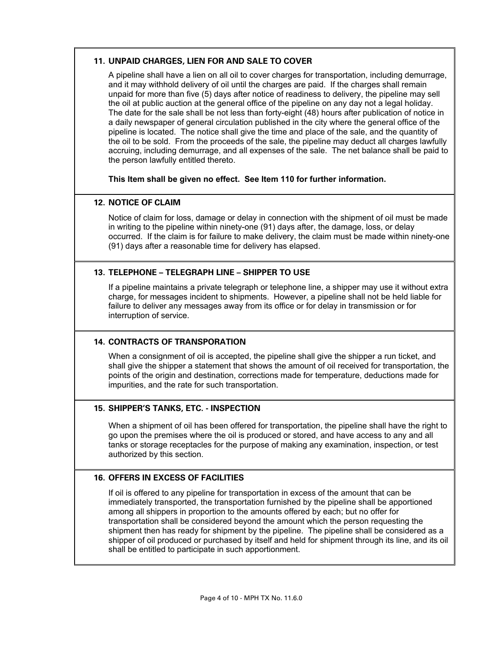#### **11. UNPAID CHARGES, LIEN FOR AND SALE TO COVER**

A pipeline shall have a lien on all oil to cover charges for transportation, including demurrage, and it may withhold delivery of oil until the charges are paid. If the charges shall remain unpaid for more than five (5) days after notice of readiness to delivery, the pipeline may sell the oil at public auction at the general office of the pipeline on any day not a legal holiday. The date for the sale shall be not less than forty-eight (48) hours after publication of notice in a daily newspaper of general circulation published in the city where the general office of the pipeline is located. The notice shall give the time and place of the sale, and the quantity of the oil to be sold. From the proceeds of the sale, the pipeline may deduct all charges lawfully accruing, including demurrage, and all expenses of the sale. The net balance shall be paid to the person lawfully entitled thereto.

**This Item shall be given no effect. See Item 110 for further information.**

#### **12. NOTICE OF CLAIM**

Notice of claim for loss, damage or delay in connection with the shipment of oil must be made in writing to the pipeline within ninety-one (91) days after, the damage, loss, or delay occurred. If the claim is for failure to make delivery, the claim must be made within ninety-one (91) days after a reasonable time for delivery has elapsed.

#### **13. TELEPHONE – TELEGRAPH LINE – SHIPPER TO USE**

If a pipeline maintains a private telegraph or telephone line, a shipper may use it without extra charge, for messages incident to shipments. However, a pipeline shall not be held liable for failure to deliver any messages away from its office or for delay in transmission or for interruption of service.

#### **14. CONTRACTS OF TRANSPORATION**

When a consignment of oil is accepted, the pipeline shall give the shipper a run ticket, and shall give the shipper a statement that shows the amount of oil received for transportation, the points of the origin and destination, corrections made for temperature, deductions made for impurities, and the rate for such transportation.

#### **15. SHIPPER'S TANKS, ETC. - INSPECTION**

When a shipment of oil has been offered for transportation, the pipeline shall have the right to go upon the premises where the oil is produced or stored, and have access to any and all tanks or storage receptacles for the purpose of making any examination, inspection, or test authorized by this section.

#### **16. OFFERS IN EXCESS OF FACILITIES**

If oil is offered to any pipeline for transportation in excess of the amount that can be immediately transported, the transportation furnished by the pipeline shall be apportioned among all shippers in proportion to the amounts offered by each; but no offer for transportation shall be considered beyond the amount which the person requesting the shipment then has ready for shipment by the pipeline. The pipeline shall be considered as a shipper of oil produced or purchased by itself and held for shipment through its line, and its oil shall be entitled to participate in such apportionment.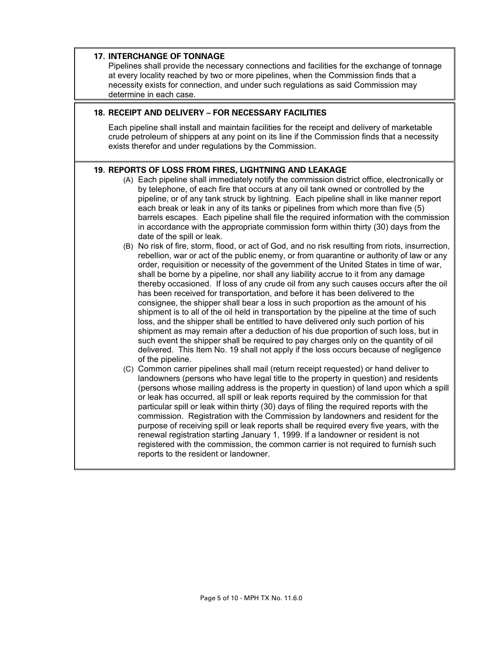#### **17. INTERCHANGE OF TONNAGE**

Pipelines shall provide the necessary connections and facilities for the exchange of tonnage at every locality reached by two or more pipelines, when the Commission finds that a necessity exists for connection, and under such regulations as said Commission may determine in each case.

#### **18. RECEIPT AND DELIVERY – FOR NECESSARY FACILITIES**

Each pipeline shall install and maintain facilities for the receipt and delivery of marketable crude petroleum of shippers at any point on its line if the Commission finds that a necessity exists therefor and under regulations by the Commission.

#### **19. REPORTS OF LOSS FROM FIRES, LIGHTNING AND LEAKAGE**

- (A) Each pipeline shall immediately notify the commission district office, electronically or by telephone, of each fire that occurs at any oil tank owned or controlled by the pipeline, or of any tank struck by lightning. Each pipeline shall in like manner report each break or leak in any of its tanks or pipelines from which more than five (5) barrels escapes. Each pipeline shall file the required information with the commission in accordance with the appropriate commission form within thirty (30) days from the date of the spill or leak.
- (B) No risk of fire, storm, flood, or act of God, and no risk resulting from riots, insurrection, rebellion, war or act of the public enemy, or from quarantine or authority of law or any order, requisition or necessity of the government of the United States in time of war, shall be borne by a pipeline, nor shall any liability accrue to it from any damage thereby occasioned. If loss of any crude oil from any such causes occurs after the oil has been received for transportation, and before it has been delivered to the consignee, the shipper shall bear a loss in such proportion as the amount of his shipment is to all of the oil held in transportation by the pipeline at the time of such loss, and the shipper shall be entitled to have delivered only such portion of his shipment as may remain after a deduction of his due proportion of such loss, but in such event the shipper shall be required to pay charges only on the quantity of oil delivered. This Item No. 19 shall not apply if the loss occurs because of negligence of the pipeline.
- (C) Common carrier pipelines shall mail (return receipt requested) or hand deliver to landowners (persons who have legal title to the property in question) and residents (persons whose mailing address is the property in question) of land upon which a spill or leak has occurred, all spill or leak reports required by the commission for that particular spill or leak within thirty (30) days of filing the required reports with the commission. Registration with the Commission by landowners and resident for the purpose of receiving spill or leak reports shall be required every five years, with the renewal registration starting January 1, 1999. If a landowner or resident is not registered with the commission, the common carrier is not required to furnish such reports to the resident or landowner.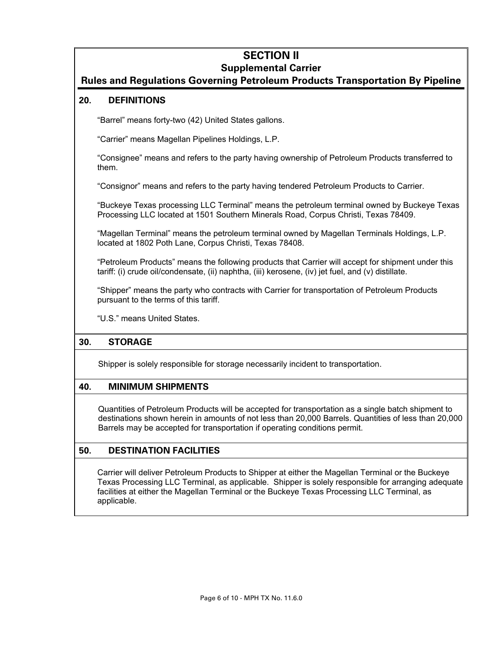## **SECTION II**

## **Supplemental Carrier**

## **Rules and Regulations Governing Petroleum Products Transportation By Pipeline**

#### **20. DEFINITIONS**

"Barrel" means forty-two (42) United States gallons.

"Carrier" means Magellan Pipelines Holdings, L.P.

"Consignee" means and refers to the party having ownership of Petroleum Products transferred to them.

"Consignor" means and refers to the party having tendered Petroleum Products to Carrier.

"Buckeye Texas processing LLC Terminal" means the petroleum terminal owned by Buckeye Texas Processing LLC located at 1501 Southern Minerals Road, Corpus Christi, Texas 78409.

"Magellan Terminal" means the petroleum terminal owned by Magellan Terminals Holdings, L.P. located at 1802 Poth Lane, Corpus Christi, Texas 78408.

"Petroleum Products" means the following products that Carrier will accept for shipment under this tariff: (i) crude oil/condensate, (ii) naphtha, (iii) kerosene, (iv) jet fuel, and (v) distillate.

"Shipper" means the party who contracts with Carrier for transportation of Petroleum Products pursuant to the terms of this tariff.

"U.S." means United States.

#### **30. STORAGE**

Shipper is solely responsible for storage necessarily incident to transportation.

#### **40. MINIMUM SHIPMENTS**

Quantities of Petroleum Products will be accepted for transportation as a single batch shipment to destinations shown herein in amounts of not less than 20,000 Barrels. Quantities of less than 20,000 Barrels may be accepted for transportation if operating conditions permit.

#### **50. DESTINATION FACILITIES**

Carrier will deliver Petroleum Products to Shipper at either the Magellan Terminal or the Buckeye Texas Processing LLC Terminal, as applicable. Shipper is solely responsible for arranging adequate facilities at either the Magellan Terminal or the Buckeye Texas Processing LLC Terminal, as applicable.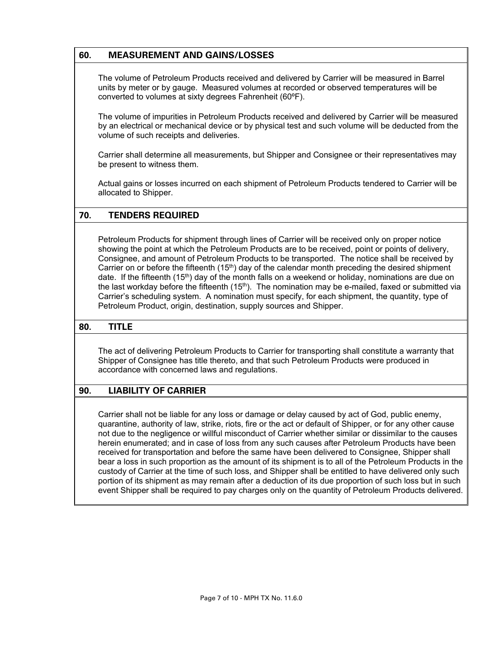## **60. MEASUREMENT AND GAINS/LOSSES**

The volume of Petroleum Products received and delivered by Carrier will be measured in Barrel units by meter or by gauge. Measured volumes at recorded or observed temperatures will be converted to volumes at sixty degrees Fahrenheit (60ºF).

The volume of impurities in Petroleum Products received and delivered by Carrier will be measured by an electrical or mechanical device or by physical test and such volume will be deducted from the volume of such receipts and deliveries.

Carrier shall determine all measurements, but Shipper and Consignee or their representatives may be present to witness them.

Actual gains or losses incurred on each shipment of Petroleum Products tendered to Carrier will be allocated to Shipper.

#### **70. TENDERS REQUIRED**

Petroleum Products for shipment through lines of Carrier will be received only on proper notice showing the point at which the Petroleum Products are to be received, point or points of delivery, Consignee, and amount of Petroleum Products to be transported. The notice shall be received by Carrier on or before the fifteenth  $(15<sup>th</sup>)$  day of the calendar month preceding the desired shipment date. If the fifteenth  $(15<sup>th</sup>)$  day of the month falls on a weekend or holiday, nominations are due on the last workday before the fifteenth  $(15<sup>th</sup>)$ . The nomination may be e-mailed, faxed or submitted via Carrier's scheduling system. A nomination must specify, for each shipment, the quantity, type of Petroleum Product, origin, destination, supply sources and Shipper.

#### **80. TITLE**

The act of delivering Petroleum Products to Carrier for transporting shall constitute a warranty that Shipper of Consignee has title thereto, and that such Petroleum Products were produced in accordance with concerned laws and regulations.

#### **90. LIABILITY OF CARRIER**

Carrier shall not be liable for any loss or damage or delay caused by act of God, public enemy, quarantine, authority of law, strike, riots, fire or the act or default of Shipper, or for any other cause not due to the negligence or willful misconduct of Carrier whether similar or dissimilar to the causes herein enumerated; and in case of loss from any such causes after Petroleum Products have been received for transportation and before the same have been delivered to Consignee, Shipper shall bear a loss in such proportion as the amount of its shipment is to all of the Petroleum Products in the custody of Carrier at the time of such loss, and Shipper shall be entitled to have delivered only such portion of its shipment as may remain after a deduction of its due proportion of such loss but in such event Shipper shall be required to pay charges only on the quantity of Petroleum Products delivered.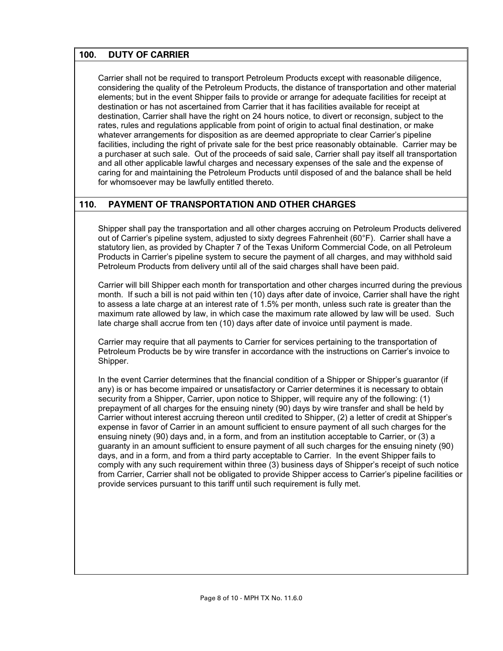#### **100. DUTY OF CARRIER**

Carrier shall not be required to transport Petroleum Products except with reasonable diligence, considering the quality of the Petroleum Products, the distance of transportation and other material elements; but in the event Shipper fails to provide or arrange for adequate facilities for receipt at destination or has not ascertained from Carrier that it has facilities available for receipt at destination, Carrier shall have the right on 24 hours notice, to divert or reconsign, subject to the rates, rules and regulations applicable from point of origin to actual final destination, or make whatever arrangements for disposition as are deemed appropriate to clear Carrier's pipeline facilities, including the right of private sale for the best price reasonably obtainable. Carrier may be a purchaser at such sale. Out of the proceeds of said sale, Carrier shall pay itself all transportation and all other applicable lawful charges and necessary expenses of the sale and the expense of caring for and maintaining the Petroleum Products until disposed of and the balance shall be held for whomsoever may be lawfully entitled thereto.

#### **110. PAYMENT OF TRANSPORTATION AND OTHER CHARGES**

Shipper shall pay the transportation and all other charges accruing on Petroleum Products delivered out of Carrier's pipeline system, adjusted to sixty degrees Fahrenheit (60°F). Carrier shall have a statutory lien, as provided by Chapter 7 of the Texas Uniform Commercial Code, on all Petroleum Products in Carrier's pipeline system to secure the payment of all charges, and may withhold said Petroleum Products from delivery until all of the said charges shall have been paid.

Carrier will bill Shipper each month for transportation and other charges incurred during the previous month. If such a bill is not paid within ten (10) days after date of invoice, Carrier shall have the right to assess a late charge at an interest rate of 1.5% per month, unless such rate is greater than the maximum rate allowed by law, in which case the maximum rate allowed by law will be used. Such late charge shall accrue from ten (10) days after date of invoice until payment is made.

Carrier may require that all payments to Carrier for services pertaining to the transportation of Petroleum Products be by wire transfer in accordance with the instructions on Carrier's invoice to Shipper.

In the event Carrier determines that the financial condition of a Shipper or Shipper's guarantor (if any) is or has become impaired or unsatisfactory or Carrier determines it is necessary to obtain security from a Shipper, Carrier, upon notice to Shipper, will require any of the following: (1) prepayment of all charges for the ensuing ninety (90) days by wire transfer and shall be held by Carrier without interest accruing thereon until credited to Shipper, (2) a letter of credit at Shipper's expense in favor of Carrier in an amount sufficient to ensure payment of all such charges for the ensuing ninety (90) days and, in a form, and from an institution acceptable to Carrier, or (3) a guaranty in an amount sufficient to ensure payment of all such charges for the ensuing ninety (90) days, and in a form, and from a third party acceptable to Carrier. In the event Shipper fails to comply with any such requirement within three (3) business days of Shipper's receipt of such notice from Carrier, Carrier shall not be obligated to provide Shipper access to Carrier's pipeline facilities or provide services pursuant to this tariff until such requirement is fully met.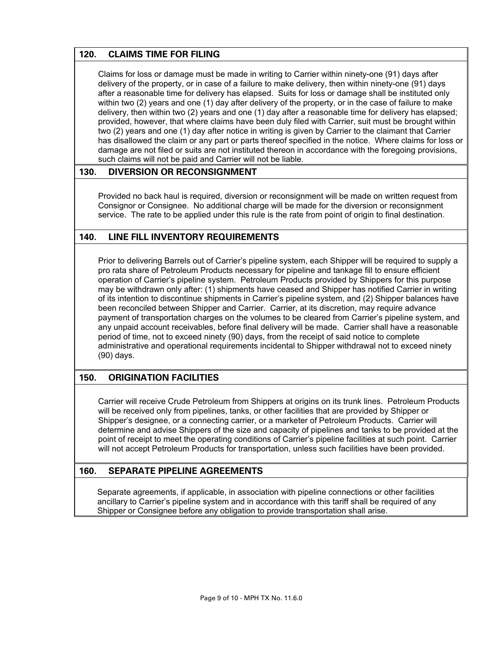## **120. CLAIMS TIME FOR FILING**

Claims for loss or damage must be made in writing to Carrier within ninety-one (91) days after delivery of the property, or in case of a failure to make delivery, then within ninety-one (91) days after a reasonable time for delivery has elapsed. Suits for loss or damage shall be instituted only within two (2) years and one (1) day after delivery of the property, or in the case of failure to make delivery, then within two (2) years and one (1) day after a reasonable time for delivery has elapsed; provided, however, that where claims have been duly filed with Carrier, suit must be brought within two (2) years and one (1) day after notice in writing is given by Carrier to the claimant that Carrier has disallowed the claim or any part or parts thereof specified in the notice. Where claims for loss or damage are not filed or suits are not instituted thereon in accordance with the foregoing provisions, such claims will not be paid and Carrier will not be liable.

#### **130. DIVERSION OR RECONSIGNMENT**

Provided no back haul is required, diversion or reconsignment will be made on written request from Consignor or Consignee. No additional charge will be made for the diversion or reconsignment service. The rate to be applied under this rule is the rate from point of origin to final destination.

#### **140. LINE FILL INVENTORY REQUIREMENTS**

Prior to delivering Barrels out of Carrier's pipeline system, each Shipper will be required to supply a pro rata share of Petroleum Products necessary for pipeline and tankage fill to ensure efficient operation of Carrier's pipeline system. Petroleum Products provided by Shippers for this purpose may be withdrawn only after: (1) shipments have ceased and Shipper has notified Carrier in writing of its intention to discontinue shipments in Carrier's pipeline system, and (2) Shipper balances have been reconciled between Shipper and Carrier. Carrier, at its discretion, may require advance payment of transportation charges on the volumes to be cleared from Carrier's pipeline system, and any unpaid account receivables, before final delivery will be made. Carrier shall have a reasonable period of time, not to exceed ninety (90) days, from the receipt of said notice to complete administrative and operational requirements incidental to Shipper withdrawal not to exceed ninety (90) days.

#### **150. ORIGINATION FACILITIES**

Carrier will receive Crude Petroleum from Shippers at origins on its trunk lines. Petroleum Products will be received only from pipelines, tanks, or other facilities that are provided by Shipper or Shipper's designee, or a connecting carrier, or a marketer of Petroleum Products. Carrier will determine and advise Shippers of the size and capacity of pipelines and tanks to be provided at the point of receipt to meet the operating conditions of Carrier's pipeline facilities at such point. Carrier will not accept Petroleum Products for transportation, unless such facilities have been provided.

#### **160. SEPARATE PIPELINE AGREEMENTS**

Separate agreements, if applicable, in association with pipeline connections or other facilities ancillary to Carrier's pipeline system and in accordance with this tariff shall be required of any Shipper or Consignee before any obligation to provide transportation shall arise.